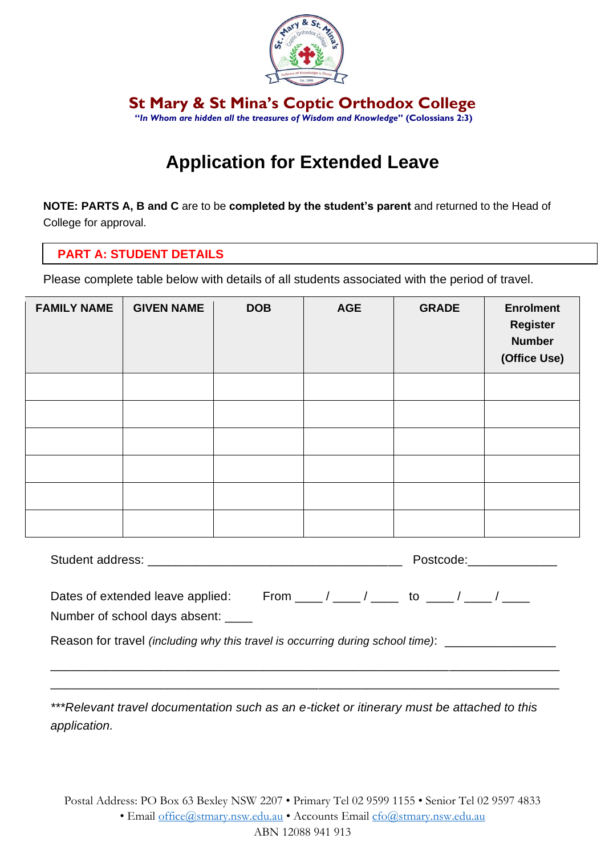

**St Mary & St Mina's Coptic Orthodox College "***In Whom are hidden all the treasures of Wisdom and Knowledge***" (Colossians 2:3)**

# **Application for Extended Leave**

**NOTE: PARTS A, B and C** are to be **completed by the student's parent** and returned to the Head of College for approval.

## **PART A: STUDENT DETAILS**

Please complete table below with details of all students associated with the period of travel.

| <b>FAMILY NAME</b> | <b>GIVEN NAME</b> | <b>DOB</b> | <b>AGE</b> | <b>GRADE</b> | <b>Enrolment</b><br><b>Register</b><br><b>Number</b><br>(Office Use) |
|--------------------|-------------------|------------|------------|--------------|----------------------------------------------------------------------|
|                    |                   |            |            |              |                                                                      |
|                    |                   |            |            |              |                                                                      |
|                    |                   |            |            |              |                                                                      |
|                    |                   |            |            |              |                                                                      |
|                    |                   |            |            |              |                                                                      |
|                    |                   |            |            |              |                                                                      |

|                                                                                        |                                                        | Postcode:______________ |  |  |
|----------------------------------------------------------------------------------------|--------------------------------------------------------|-------------------------|--|--|
| Dates of extended leave applied:                                                       | From ______/ ______/ _______ to ______/ ______/ ______ |                         |  |  |
| Number of school days absent:                                                          |                                                        |                         |  |  |
| Reason for travel <i>(including why this travel is occurring during school time)</i> : |                                                        |                         |  |  |

\_\_\_\_\_\_\_\_\_\_\_\_\_\_\_\_\_\_\_\_\_\_\_\_\_\_\_\_\_\_\_\_\_\_\_\_\_\_\_\_\_\_\_\_\_\_\_\_\_\_\_\_\_\_\_\_\_\_\_\_\_\_\_\_\_\_\_\_\_\_\_\_\_\_ \_\_\_\_\_\_\_\_\_\_\_\_\_\_\_\_\_\_\_\_\_\_\_\_\_\_\_\_\_\_\_\_\_\_\_\_\_\_\_\_\_\_\_\_\_\_\_\_\_\_\_\_\_\_\_\_\_\_\_\_\_\_\_\_\_\_\_\_\_\_\_\_\_\_

*\*\*\*Relevant travel documentation such as an e-ticket or itinerary must be attached to this application.*

Postal Address: PO Box 63 Bexley NSW 2207 • Primary Tel 02 9599 1155 • Senior Tel 02 9597 4833 • Email [office@stmary.nsw.edu.au](mailto:office@stmary.nsw.edu.au) • Accounts Email [cfo@stmary.nsw.edu.au](mailto:cfo@stmary.nsw.edu.au) ABN 12088 941 913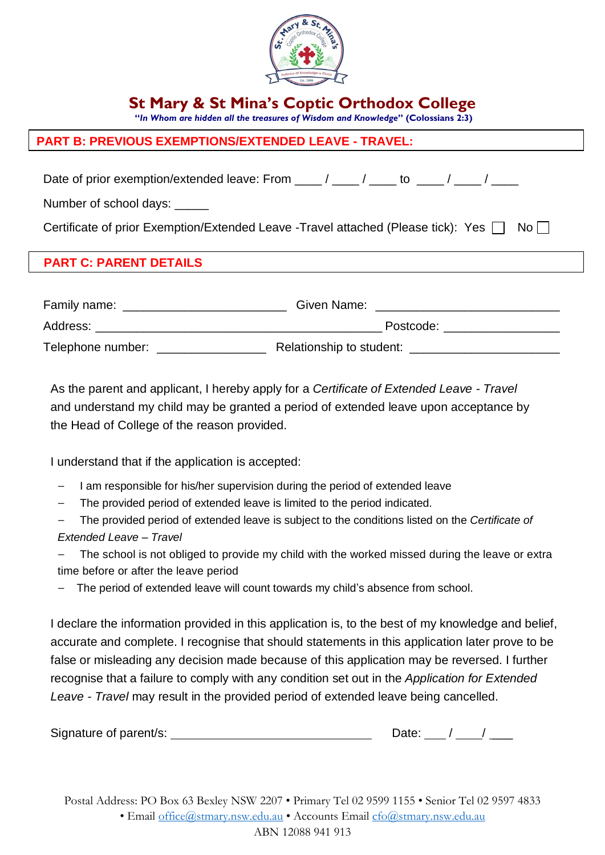

**St Mary & St Mina's Coptic Orthodox College**

 **"***In Whom are hidden all the treasures of Wisdom and Knowledge***" (Colossians 2:3)**

## **PART B: PREVIOUS EXEMPTIONS/EXTENDED LEAVE - TRAVEL:**

Date of prior exemption/extended leave: From  $\frac{1}{\sqrt{2}}$  /  $\frac{1}{\sqrt{2}}$  to  $\frac{1}{\sqrt{2}}$  /  $\frac{1}{\sqrt{2}}$ 

Number of school days: \_\_\_\_\_

Certificate of prior Exemption/Extended Leave -Travel attached (Please tick): Yes  $\Box$  No  $\Box$ 

#### ī **PART C: PARENT DETAILS**

| Family name:      | Given Name:              |
|-------------------|--------------------------|
| Address:          | Postcode:                |
| Telephone number: | Relationship to student: |

As the parent and applicant, I hereby apply for a *Certificate of Extended Leave - Travel* and understand my child may be granted a period of extended leave upon acceptance by the Head of College of the reason provided.

I understand that if the application is accepted:

- I am responsible for his/her supervision during the period of extended leave
- The provided period of extended leave is limited to the period indicated.

— The provided period of extended leave is subject to the conditions listed on the *Certificate of Extended Leave – Travel*

The school is not obliged to provide my child with the worked missed during the leave or extra time before or after the leave period

The period of extended leave will count towards my child's absence from school.

I declare the information provided in this application is, to the best of my knowledge and belief, accurate and complete. I recognise that should statements in this application later prove to be false or misleading any decision made because of this application may be reversed. I further recognise that a failure to comply with any condition set out in the *Application for Extended Leave - Travel* may result in the provided period of extended leave being cancelled.

| Signature of parent/s: |  |
|------------------------|--|
|------------------------|--|

Postal Address: PO Box 63 Bexley NSW 2207 • Primary Tel 02 9599 1155 • Senior Tel 02 9597 4833 • Email [office@stmary.nsw.edu.au](mailto:office@stmary.nsw.edu.au) • Accounts Email [cfo@stmary.nsw.edu.au](mailto:cfo@stmary.nsw.edu.au) ABN 12088 941 913